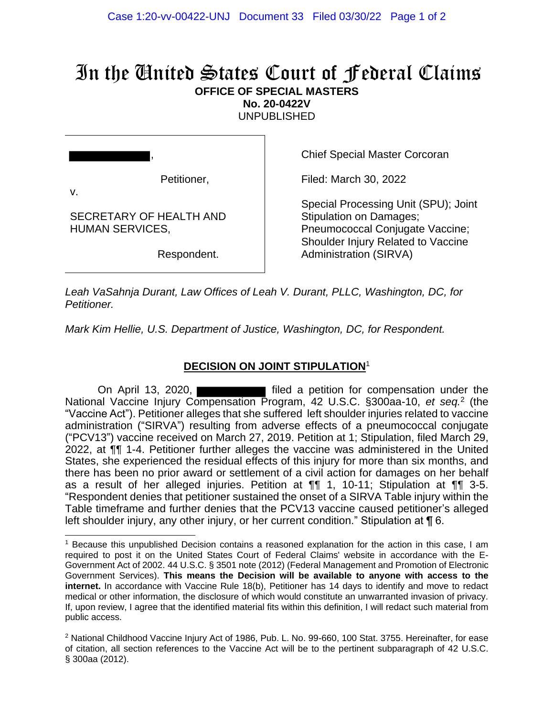## In the United States Court of Federal Claims **OFFICE OF SPECIAL MASTERS No. 20-0422V**

UNPUBLISHED

, Petitioner, v. SECRETARY OF HEALTH AND HUMAN SERVICES,

Respondent.

Chief Special Master Corcoran

Filed: March 30, 2022

Special Processing Unit (SPU); Joint Stipulation on Damages; Pneumococcal Conjugate Vaccine; Shoulder Injury Related to Vaccine Administration (SIRVA)

*Leah VaSahnja Durant, Law Offices of Leah V. Durant, PLLC, Washington, DC, for Petitioner.*

*Mark Kim Hellie, U.S. Department of Justice, Washington, DC, for Respondent.*

## **DECISION ON JOINT STIPULATION**<sup>1</sup>

On April 13, 2020, National Vaccine Injury Compensation Program, 42 U.S.C. §300aa-10, et seq.<sup>2</sup> (the "Vaccine Act"). Petitioner alleges that she suffered left shoulder injuries related to vaccine administration ("SIRVA") resulting from adverse effects of a pneumococcal conjugate ("PCV13") vaccine received on March 27, 2019. Petition at 1; Stipulation, filed March 29, 2022, at ¶¶ 1-4. Petitioner further alleges the vaccine was administered in the United States, she experienced the residual effects of this injury for more than six months, and there has been no prior award or settlement of a civil action for damages on her behalf as a result of her alleged injuries. Petition at ¶¶ 1, 10-11; Stipulation at ¶¶ 3-5. "Respondent denies that petitioner sustained the onset of a SIRVA Table injury within the Table timeframe and further denies that the PCV13 vaccine caused petitioner's alleged left shoulder injury, any other injury, or her current condition." Stipulation at ¶ 6.

<sup>1</sup> Because this unpublished Decision contains a reasoned explanation for the action in this case, I am required to post it on the United States Court of Federal Claims' website in accordance with the E-Government Act of 2002. 44 U.S.C. § 3501 note (2012) (Federal Management and Promotion of Electronic Government Services). **This means the Decision will be available to anyone with access to the internet.** In accordance with Vaccine Rule 18(b), Petitioner has 14 days to identify and move to redact medical or other information, the disclosure of which would constitute an unwarranted invasion of privacy. If, upon review, I agree that the identified material fits within this definition, I will redact such material from public access.

<sup>&</sup>lt;sup>2</sup> National Childhood Vaccine Injury Act of 1986, Pub. L. No. 99-660, 100 Stat. 3755. Hereinafter, for ease of citation, all section references to the Vaccine Act will be to the pertinent subparagraph of 42 U.S.C. § 300aa (2012).